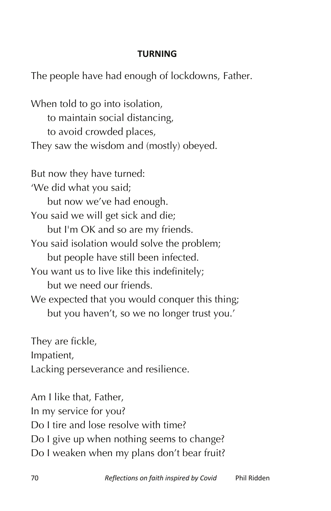## **TURNING**

The people have had enough of lockdowns, Father.

When told to go into isolation, to maintain social distancing, to avoid crowded places, They saw the wisdom and (mostly) obeyed.

But now they have turned: 'We did what you said; but now we've had enough. You said we will get sick and die; but I'm OK and so are my friends. You said isolation would solve the problem; but people have still been infected. You want us to live like this indefinitely; but we need our friends. We expected that you would conquer this thing; but you haven't, so we no longer trust you.'

They are fickle, Impatient, Lacking perseverance and resilience.

Am I like that, Father, In my service for you? Do I tire and lose resolve with time? Do I give up when nothing seems to change? Do I weaken when my plans don't bear fruit?